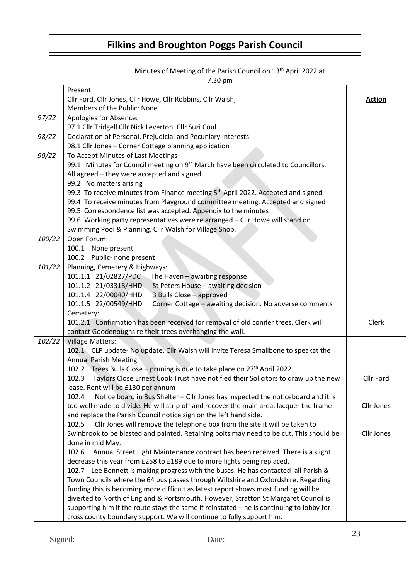## **Filkins and Broughton Poggs Parish Council**

| Minutes of Meeting of the Parish Council on 13 <sup>th</sup> April 2022 at<br>7.30 pm |                                                                                                                                                                                                                                                                                                                |                   |  |
|---------------------------------------------------------------------------------------|----------------------------------------------------------------------------------------------------------------------------------------------------------------------------------------------------------------------------------------------------------------------------------------------------------------|-------------------|--|
|                                                                                       | Present<br>Cllr Ford, Cllr Jones, Cllr Howe, Cllr Robbins, Cllr Walsh,<br>Members of the Public: None                                                                                                                                                                                                          | <b>Action</b>     |  |
| 97/22                                                                                 | Apologies for Absence:                                                                                                                                                                                                                                                                                         |                   |  |
|                                                                                       | 97.1 Cllr Tridgell Cllr Nick Leverton, Cllr Suzi Coul                                                                                                                                                                                                                                                          |                   |  |
| 98/22                                                                                 | Declaration of Personal, Prejudicial and Pecuniary Interests                                                                                                                                                                                                                                                   |                   |  |
|                                                                                       | 98.1 Cllr Jones - Corner Cottage planning application                                                                                                                                                                                                                                                          |                   |  |
| 99/22                                                                                 | To Accept Minutes of Last Meetings<br>99.1 Minutes for Council meeting on 9 <sup>th</sup> March have been circulated to Councillors.<br>All agreed - they were accepted and signed.<br>99.2 No matters arising<br>99.3 To receive minutes from Finance meeting 5 <sup>th</sup> April 2022. Accepted and signed |                   |  |
|                                                                                       | 99.4 To receive minutes from Playground committee meeting. Accepted and signed                                                                                                                                                                                                                                 |                   |  |
|                                                                                       | 99.5 Correspondence list was accepted. Appendix to the minutes                                                                                                                                                                                                                                                 |                   |  |
|                                                                                       | 99.6 Working party representatives were re arranged - Cllr Howe will stand on                                                                                                                                                                                                                                  |                   |  |
|                                                                                       | Swimming Pool & Planning, Cllr Walsh for Village Shop.                                                                                                                                                                                                                                                         |                   |  |
| 100/22                                                                                | Open Forum:                                                                                                                                                                                                                                                                                                    |                   |  |
|                                                                                       | 100.1 None present                                                                                                                                                                                                                                                                                             |                   |  |
|                                                                                       | 100.2 Public- none present                                                                                                                                                                                                                                                                                     |                   |  |
| 101/22                                                                                | Planning, Cemetery & Highways:<br>101.1.1 21/02827/PDC The Haven - awaiting response                                                                                                                                                                                                                           |                   |  |
|                                                                                       | 101.1.2 21/03318/HHD<br>St Peters House - awaiting decision                                                                                                                                                                                                                                                    |                   |  |
|                                                                                       | 101.1.4 22/00040/HHD<br>3 Bulls Close - approved                                                                                                                                                                                                                                                               |                   |  |
|                                                                                       | 101.1.5 22/00549/HHD<br>Corner Cottage - awaiting decision. No adverse comments                                                                                                                                                                                                                                |                   |  |
|                                                                                       | Cemetery:                                                                                                                                                                                                                                                                                                      |                   |  |
|                                                                                       | 101.2.1 Confirmation has been received for removal of old conifer trees. Clerk will                                                                                                                                                                                                                            | Clerk             |  |
|                                                                                       | contact Goodenoughs re their trees overhanging the wall.                                                                                                                                                                                                                                                       |                   |  |
| 102/22                                                                                | <b>Village Matters:</b><br>102.1 CLP update- No update. Cllr Walsh will invite Teresa Smallbone to speakat the<br><b>Annual Parish Meeting</b>                                                                                                                                                                 |                   |  |
|                                                                                       | 102.2 Trees Bulls Close - pruning is due to take place on 27 <sup>th</sup> April 2022                                                                                                                                                                                                                          |                   |  |
|                                                                                       | Taylors Close Ernest Cook Trust have notified their Solicitors to draw up the new<br>102.3                                                                                                                                                                                                                     | Cllr Ford         |  |
|                                                                                       | lease. Rent will be £130 per annum                                                                                                                                                                                                                                                                             |                   |  |
|                                                                                       | Notice board in Bus Shelter - Cllr Jones has inspected the noticeboard and it is<br>102.4                                                                                                                                                                                                                      |                   |  |
|                                                                                       | too well made to divide. He will strip off and recover the main area, lacquer the frame                                                                                                                                                                                                                        | <b>Cllr Jones</b> |  |
|                                                                                       | and replace the Parish Council notice sign on the left hand side.                                                                                                                                                                                                                                              |                   |  |
|                                                                                       | Cllr Jones will remove the telephone box from the site it will be taken to<br>102.5                                                                                                                                                                                                                            |                   |  |
|                                                                                       | Swinbrook to be blasted and painted. Retaining bolts may need to be cut. This should be                                                                                                                                                                                                                        | Cllr Jones        |  |
|                                                                                       | done in mid May.<br>Annual Street Light Maintenance contract has been received. There is a slight<br>102.6                                                                                                                                                                                                     |                   |  |
|                                                                                       | decrease this year from £258 to £189 due to more lights being replaced.                                                                                                                                                                                                                                        |                   |  |
|                                                                                       | 102.7 Lee Bennett is making progress with the buses. He has contacted all Parish &                                                                                                                                                                                                                             |                   |  |
|                                                                                       | Town Councils where the 64 bus passes through Wiltshire and Oxfordshire. Regarding                                                                                                                                                                                                                             |                   |  |
|                                                                                       | funding this is becoming more difficult as latest report shows most funding will be                                                                                                                                                                                                                            |                   |  |
|                                                                                       | diverted to North of England & Portsmouth. However, Stratton St Margaret Council is                                                                                                                                                                                                                            |                   |  |
|                                                                                       | supporting him if the route stays the same if reinstated - he is continuing to lobby for                                                                                                                                                                                                                       |                   |  |
|                                                                                       | cross county boundary support. We will continue to fully support him.                                                                                                                                                                                                                                          |                   |  |